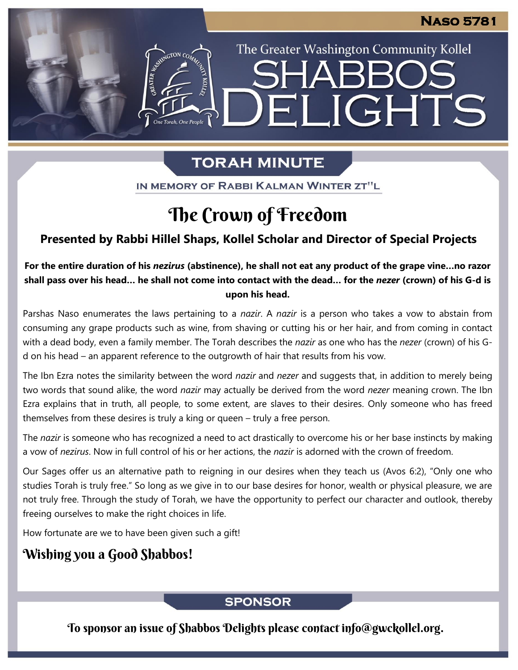The Greater Washington Community Kollel

ELIGHTS

# **TORAH MINUTE**

IN MEMORY OF RABBI KALMAN WINTER ZT"L

# The Crown of Freedom

## **Presented by Rabbi Hillel Shaps, Kollel Scholar and Director of Special Projects**

### **For the entire duration of his** *nezirus* **(abstinence), he shall not eat any product of the grape vine…no razor shall pass over his head… he shall not come into contact with the dead… for the** *nezer* **(crown) of his G-d is upon his head.**

Parshas Naso enumerates the laws pertaining to a *nazir*. A *nazir* is a person who takes a vow to abstain from consuming any grape products such as wine, from shaving or cutting his or her hair, and from coming in contact with a dead body, even a family member. The Torah describes the *nazir* as one who has the *nezer* (crown) of his Gd on his head – an apparent reference to the outgrowth of hair that results from his vow.

The Ibn Ezra notes the similarity between the word *nazir* and *nezer* and suggests that, in addition to merely being two words that sound alike, the word *nazir* may actually be derived from the word *nezer* meaning crown. The Ibn Ezra explains that in truth, all people, to some extent, are slaves to their desires. Only someone who has freed themselves from these desires is truly a king or queen – truly a free person.

The *nazir* is someone who has recognized a need to act drastically to overcome his or her base instincts by making a vow of *nezirus*. Now in full control of his or her actions, the *nazir* is adorned with the crown of freedom.

Our Sages offer us an alternative path to reigning in our desires when they teach us (Avos 6:2), "Only one who studies Torah is truly free." So long as we give in to our base desires for honor, wealth or physical pleasure, we are not truly free. Through the study of Torah, we have the opportunity to perfect our character and outlook, thereby freeing ourselves to make the right choices in life.

How fortunate are we to have been given such a gift!

## Wishing you a Good Shabbos!

### **SPONSOR**

To sponsor an issue of Shabbos Delights please contact info@gwckollel.org.